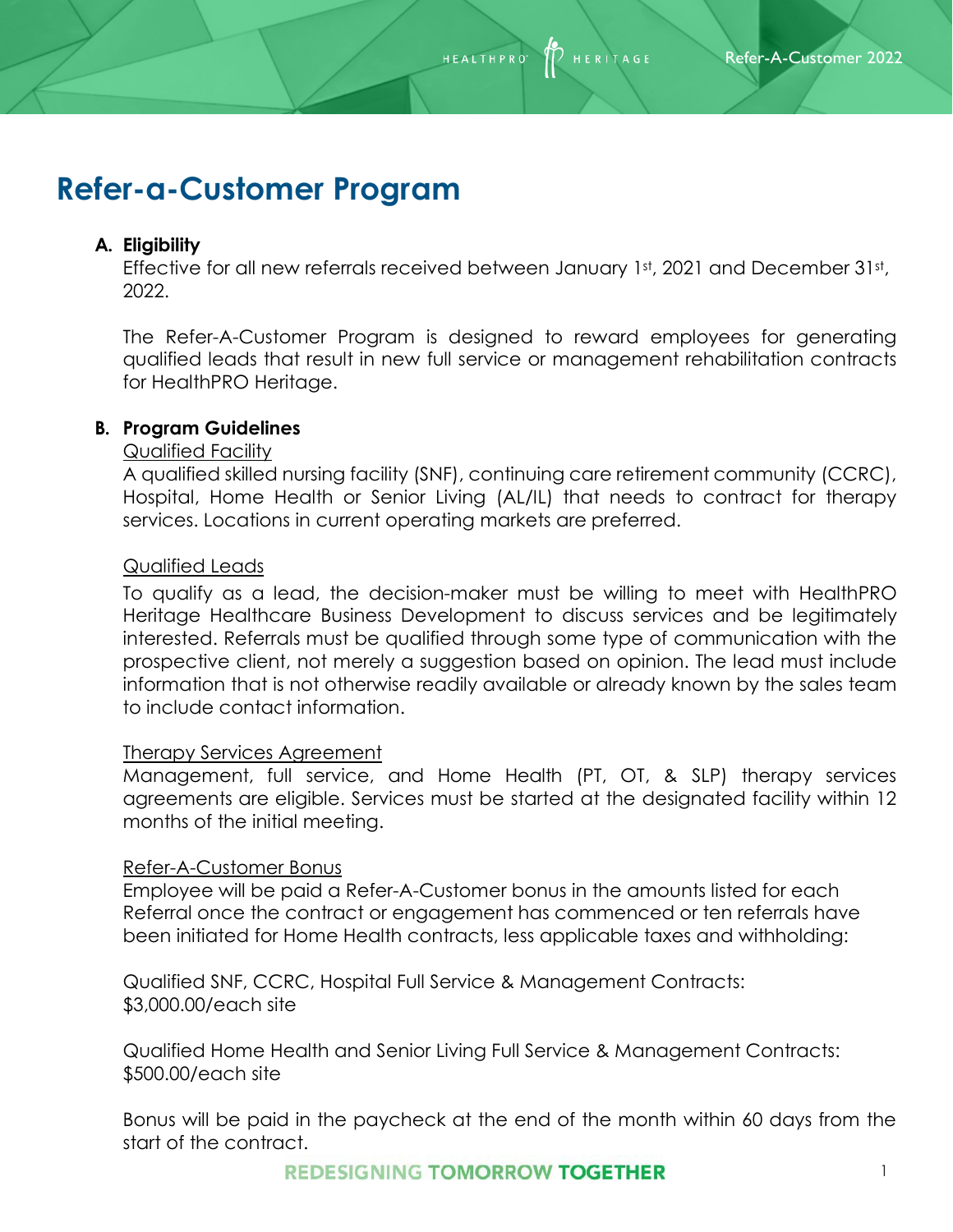**HEALTHPRC** 

**HERITAGE** 

# **Refer-a-Customer Program**

# **A. Eligibility**

Effective for all new referrals received between January 1st, 2021 and December 31st, 2022.

The Refer-A-Customer Program is designed to reward employees for generating qualified leads that result in new full service or management rehabilitation contracts for HealthPRO Heritage.

# **B. Program Guidelines**

## Qualified Facility

A qualified skilled nursing facility (SNF), continuing care retirement community (CCRC), Hospital, Home Health or Senior Living (AL/IL) that needs to contract for therapy services. Locations in current operating markets are preferred.

## Qualified Leads

To qualify as a lead, the decision-maker must be willing to meet with HealthPRO Heritage Healthcare Business Development to discuss services and be legitimately interested. Referrals must be qualified through some type of communication with the prospective client, not merely a suggestion based on opinion. The lead must include information that is not otherwise readily available or already known by the sales team to include contact information.

## Therapy Services Agreement

Management, full service, and Home Health (PT, OT, & SLP) therapy services agreements are eligible. Services must be started at the designated facility within 12 months of the initial meeting.

## Refer-A-Customer Bonus

Employee will be paid a Refer-A-Customer bonus in the amounts listed for each Referral once the contract or engagement has commenced or ten referrals have been initiated for Home Health contracts, less applicable taxes and withholding:

Qualified SNF, CCRC, Hospital Full Service & Management Contracts: \$3,000.00/each site

Qualified Home Health and Senior Living Full Service & Management Contracts: \$500.00/each site

Bonus will be paid in the paycheck at the end of the month within 60 days from the start of the contract.